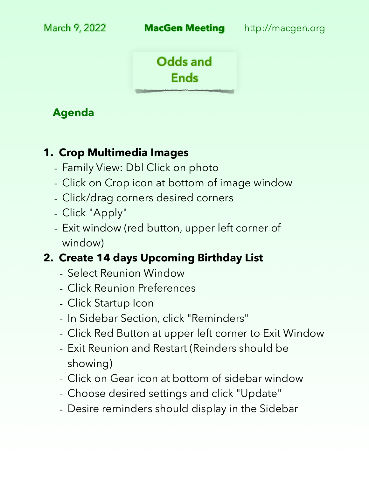

### **Agenda**

#### **1. Crop Multimedia Images**

- Family View: Dbl Click on photo
- Click on Crop icon at bottom of image window
- Click/drag corners desired corners
- Click "Apply"
- Exit window (red button, upper left corner of window)

# **2. Create 14 days Upcoming Birthday List**

- Select Reunion Window
- Click Reunion Preferences
- Click Startup Icon
- In Sidebar Section, click "Reminders"
- Click Red Button at upper left corner to Exit Window
- Exit Reunion and Restart (Reinders should be showing)
- Click on Gear icon at bottom of sidebar window
- Choose desired settings and click "Update"
- Desire reminders should display in the Sidebar